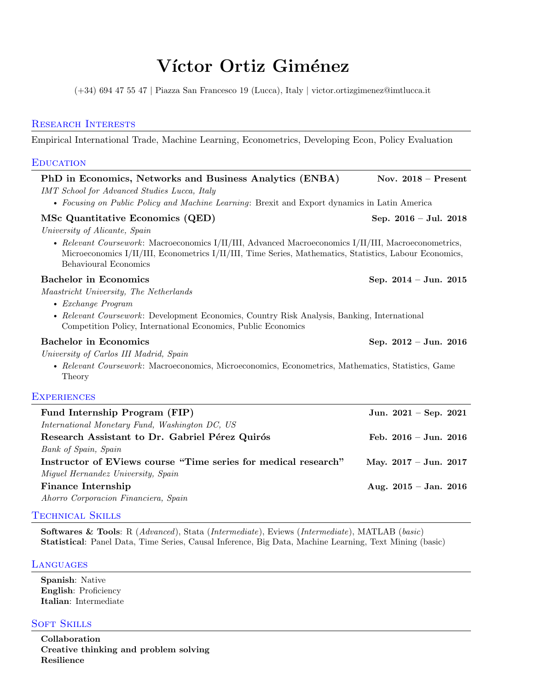# Víctor Ortiz Giménez

(+34) 694 47 55 47 | Piazza San Francesco 19 (Lucca), Italy | [victor.ortizgimenez@imtlucca.it](mailto:x@x.com)

# Research Interests

Empirical International Trade, Machine Learning, Econometrics, Developing Econ, Policy Evaluation

## **EDUCATION**

| PhD in Economics, Networks and Business Analytics (ENBA)                                                                                                                                                                                 | Nov. $2018$ – Present           |
|------------------------------------------------------------------------------------------------------------------------------------------------------------------------------------------------------------------------------------------|---------------------------------|
| <b>IMT</b> School for Advanced Studies Lucca, Italy                                                                                                                                                                                      |                                 |
| • Focusing on Public Policy and Machine Learning: Brexit and Export dynamics in Latin America                                                                                                                                            |                                 |
| MSc Quantitative Economics (QED)                                                                                                                                                                                                         | Sep. $2016 - \text{Jul. } 2018$ |
| University of Alicante, Spain                                                                                                                                                                                                            |                                 |
| • Relevant Coursework: Macroeconomics I/II/III, Advanced Macroeconomics I/II/III, Macroeconometrics,<br>Microeconomics I/II/III, Econometrics I/II/III, Time Series, Mathematics, Statistics, Labour Economics,<br>Behavioural Economics |                                 |
| <b>Bachelor</b> in Economics                                                                                                                                                                                                             | Sep. 2014 - Jun. 2015           |
| Maastricht University, The Netherlands                                                                                                                                                                                                   |                                 |
| $\bullet$ Exchange Program                                                                                                                                                                                                               |                                 |
| • Relevant Coursework: Development Economics, Country Risk Analysis, Banking, International<br>Competition Policy, International Economics, Public Economics                                                                             |                                 |
| <b>Bachelor</b> in Economics                                                                                                                                                                                                             | Sep. $2012 - Jun.$ 2016         |
| University of Carlos III Madrid, Spain                                                                                                                                                                                                   |                                 |
| • Relevant Coursework: Macroeconomics, Microeconomics, Econometrics, Mathematics, Statistics, Game<br>Theory                                                                                                                             |                                 |
| <b>EXPERIENCES</b>                                                                                                                                                                                                                       |                                 |
| Fund Internship Program (FIP)                                                                                                                                                                                                            | Jun. $2021 - Sep. 2021$         |
| International Monetary Fund, Washington DC, US                                                                                                                                                                                           |                                 |
| Research Assistant to Dr. Gabriel Pérez Quirós                                                                                                                                                                                           | Feb. $2016 - \text{Jun. } 2016$ |
| Bank of Spain, Spain                                                                                                                                                                                                                     |                                 |
| Instructor of EViews course "Time series for medical research"                                                                                                                                                                           | May. $2017 - \text{Jun. } 2017$ |
| Miguel Hernandez University, Spain                                                                                                                                                                                                       |                                 |
| <b>Finance Internship</b>                                                                                                                                                                                                                | Aug. $2015 -$ Jan. $2016$       |
|                                                                                                                                                                                                                                          |                                 |

Ahorro Corporacion Financiera, Spain

#### Technical Skills

Softwares & Tools: R (Advanced), Stata (Intermediate), Eviews (Intermediate), MATLAB (basic) Statistical: Panel Data, Time Series, Causal Inference, Big Data, Machine Learning, Text Mining (basic)

#### **LANGUAGES**

Spanish: Native English: Proficiency Italian: Intermediate

# **SOFT SKILLS**

Collaboration Creative thinking and problem solving Resilience